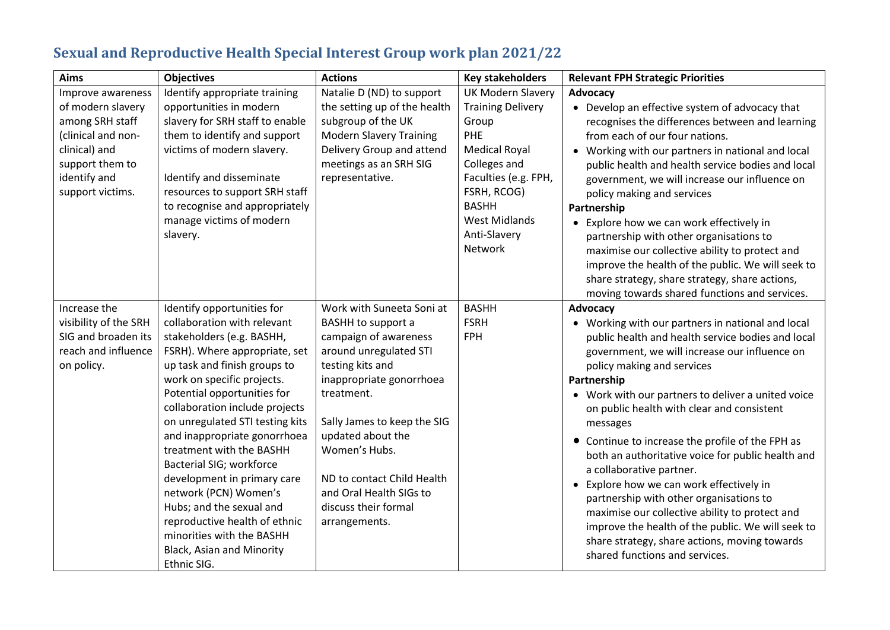| <b>Aims</b>                                                                                                                                             | <b>Objectives</b>                                                                                                                                                                                                                                                                                                                                                                                                                                                                                                                                                                      | <b>Actions</b>                                                                                                                                                                                                                                                                                                                                 | <b>Key stakeholders</b>                                                                                                                                                                                                | <b>Relevant FPH Strategic Priorities</b>                                                                                                                                                                                                                                                                                                                                                                                                                                                                                                                                                                                                                                                                                                             |
|---------------------------------------------------------------------------------------------------------------------------------------------------------|----------------------------------------------------------------------------------------------------------------------------------------------------------------------------------------------------------------------------------------------------------------------------------------------------------------------------------------------------------------------------------------------------------------------------------------------------------------------------------------------------------------------------------------------------------------------------------------|------------------------------------------------------------------------------------------------------------------------------------------------------------------------------------------------------------------------------------------------------------------------------------------------------------------------------------------------|------------------------------------------------------------------------------------------------------------------------------------------------------------------------------------------------------------------------|------------------------------------------------------------------------------------------------------------------------------------------------------------------------------------------------------------------------------------------------------------------------------------------------------------------------------------------------------------------------------------------------------------------------------------------------------------------------------------------------------------------------------------------------------------------------------------------------------------------------------------------------------------------------------------------------------------------------------------------------------|
| Improve awareness<br>of modern slavery<br>among SRH staff<br>(clinical and non-<br>clinical) and<br>support them to<br>identify and<br>support victims. | Identify appropriate training<br>opportunities in modern<br>slavery for SRH staff to enable<br>them to identify and support<br>victims of modern slavery.<br>Identify and disseminate<br>resources to support SRH staff<br>to recognise and appropriately<br>manage victims of modern<br>slavery.                                                                                                                                                                                                                                                                                      | Natalie D (ND) to support<br>the setting up of the health<br>subgroup of the UK<br><b>Modern Slavery Training</b><br>Delivery Group and attend<br>meetings as an SRH SIG<br>representative.                                                                                                                                                    | <b>UK Modern Slavery</b><br><b>Training Delivery</b><br>Group<br>PHE<br><b>Medical Royal</b><br>Colleges and<br>Faculties (e.g. FPH,<br>FSRH, RCOG)<br><b>BASHH</b><br><b>West Midlands</b><br>Anti-Slavery<br>Network | Advocacy<br>• Develop an effective system of advocacy that<br>recognises the differences between and learning<br>from each of our four nations.<br>• Working with our partners in national and local<br>public health and health service bodies and local<br>government, we will increase our influence on<br>policy making and services<br>Partnership<br>• Explore how we can work effectively in<br>partnership with other organisations to<br>maximise our collective ability to protect and<br>improve the health of the public. We will seek to<br>share strategy, share strategy, share actions,<br>moving towards shared functions and services.                                                                                             |
| Increase the<br>visibility of the SRH<br>SIG and broaden its<br>reach and influence<br>on policy.                                                       | Identify opportunities for<br>collaboration with relevant<br>stakeholders (e.g. BASHH,<br>FSRH). Where appropriate, set<br>up task and finish groups to<br>work on specific projects.<br>Potential opportunities for<br>collaboration include projects<br>on unregulated STI testing kits<br>and inappropriate gonorrhoea<br>treatment with the BASHH<br>Bacterial SIG; workforce<br>development in primary care<br>network (PCN) Women's<br>Hubs; and the sexual and<br>reproductive health of ethnic<br>minorities with the BASHH<br><b>Black, Asian and Minority</b><br>Ethnic SIG. | Work with Suneeta Soni at<br><b>BASHH to support a</b><br>campaign of awareness<br>around unregulated STI<br>testing kits and<br>inappropriate gonorrhoea<br>treatment.<br>Sally James to keep the SIG<br>updated about the<br>Women's Hubs.<br>ND to contact Child Health<br>and Oral Health SIGs to<br>discuss their formal<br>arrangements. | <b>BASHH</b><br><b>FSRH</b><br><b>FPH</b>                                                                                                                                                                              | Advocacy<br>• Working with our partners in national and local<br>public health and health service bodies and local<br>government, we will increase our influence on<br>policy making and services<br>Partnership<br>• Work with our partners to deliver a united voice<br>on public health with clear and consistent<br>messages<br>• Continue to increase the profile of the FPH as<br>both an authoritative voice for public health and<br>a collaborative partner.<br>Explore how we can work effectively in<br>partnership with other organisations to<br>maximise our collective ability to protect and<br>improve the health of the public. We will seek to<br>share strategy, share actions, moving towards<br>shared functions and services. |

## **Sexual and Reproductive Health Special Interest Group work plan 2021/22**